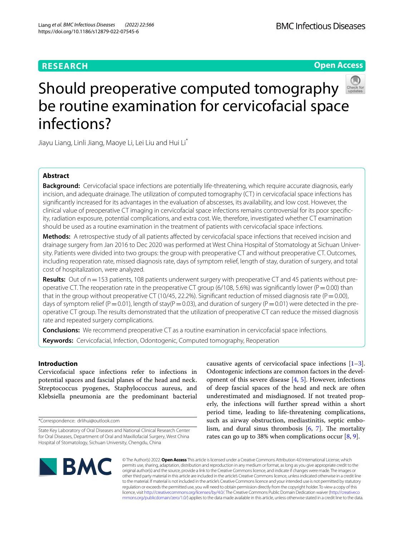# **RESEARCH**

**Open Access**



# Should preoperative computed tomography be routine examination for cervicofacial space infections?

Jiayu Liang, Linli Jiang, Maoye Li, Lei Liu and Hui Li\*

# **Abstract**

**Background:** Cervicofacial space infections are potentially life-threatening, which require accurate diagnosis, early incision, and adequate drainage. The utilization of computed tomography (CT) in cervicofacial space infections has signifcantly increased for its advantages in the evaluation of abscesses, its availability, and low cost. However, the clinical value of preoperative CT imaging in cervicofacial space infections remains controversial for its poor specifcity, radiation exposure, potential complications, and extra cost. We, therefore, investigated whether CT examination should be used as a routine examination in the treatment of patients with cervicofacial space infections.

**Methods:** A retrospective study of all patients afected by cervicofacial space infections that received incision and drainage surgery from Jan 2016 to Dec 2020 was performed at West China Hospital of Stomatology at Sichuan University. Patients were divided into two groups: the group with preoperative CT and without preoperative CT. Outcomes, including reoperation rate, missed diagnosis rate, days of symptom relief, length of stay, duration of surgery, and total cost of hospitalization, were analyzed.

Results: Out of n = 153 patients, 108 patients underwent surgery with preoperative CT and 45 patients without preoperative CT. The reoperation rate in the preoperative CT group (6/108, 5.6%) was significantly lower ( $P=0.00$ ) than that in the group without preoperative CT (10/45, 22.2%). Significant reduction of missed diagnosis rate (P = 0.00), days of symptom relief (P=0.01), length of stay(P=0.03), and duration of surgery (P=0.01) were detected in the preoperative CT group. The results demonstrated that the utilization of preoperative CT can reduce the missed diagnosis rate and repeated surgery complications.

**Conclusions:** We recommend preoperative CT as a routine examination in cervicofacial space infections. **Keywords:** Cervicofacial, Infection, Odontogenic, Computed tomography, Reoperation

## **Introduction**

Cervicofacial space infections refer to infections in potential spaces and fascial planes of the head and neck. Streptococcus pyogenes, Staphylococcus aureus, and Klebsiella pneumonia are the predominant bacterial

\*Correspondence: drlihui@outlook.com

causative agents of cervicofacial space infections  $[1-3]$  $[1-3]$ . Odontogenic infections are common factors in the development of this severe disease [\[4,](#page-6-2) [5](#page-6-3)]. However, infections of deep fascial spaces of the head and neck are often underestimated and misdiagnosed. If not treated properly, the infections will further spread within a short period time, leading to life-threatening complications, such as airway obstruction, mediastinitis, septic embolism, and dural sinus thrombosis  $[6, 7]$  $[6, 7]$  $[6, 7]$ . The mortality rates can go up to 38% when complications occur [[8,](#page-6-6) [9](#page-6-7)].



© The Author(s) 2022. **Open Access** This article is licensed under a Creative Commons Attribution 4.0 International License, which permits use, sharing, adaptation, distribution and reproduction in any medium or format, as long as you give appropriate credit to the original author(s) and the source, provide a link to the Creative Commons licence, and indicate if changes were made. The images or other third party material in this article are included in the article's Creative Commons licence, unless indicated otherwise in a credit line to the material. If material is not included in the article's Creative Commons licence and your intended use is not permitted by statutory regulation or exceeds the permitted use, you will need to obtain permission directly from the copyright holder. To view a copy of this licence, visit [http://creativecommons.org/licenses/by/4.0/.](http://creativecommons.org/licenses/by/4.0/) The Creative Commons Public Domain Dedication waiver ([http://creativeco](http://creativecommons.org/publicdomain/zero/1.0/) [mmons.org/publicdomain/zero/1.0/](http://creativecommons.org/publicdomain/zero/1.0/)) applies to the data made available in this article, unless otherwise stated in a credit line to the data.

State Key Laboratory of Oral Diseases and National Clinical Research Center for Oral Diseases, Department of Oral and Maxillofacial Surgery, West China Hospital of Stomatology, Sichuan University, Chengdu, China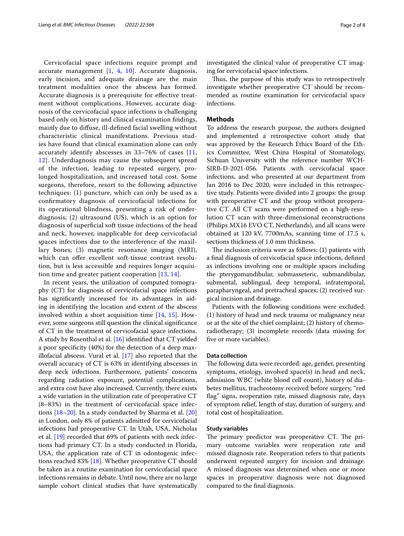Cervicofacial space infections require prompt and accurate management  $[1, 4, 10]$  $[1, 4, 10]$  $[1, 4, 10]$  $[1, 4, 10]$  $[1, 4, 10]$  $[1, 4, 10]$  $[1, 4, 10]$ . Accurate diagnosis, early incision, and adequate drainage are the main treatment modalities once the abscess has formed. Accurate diagnosis is a prerequisite for efective treatment without complications. However, accurate diagnosis of the cervicofacial space infections is challenging based only on history and clinical examination fndings, mainly due to difuse, ill-defned facial swelling without characteristic clinical manifestations. Previous studies have found that clinical examination alone can only accurately identify abscesses in 33–76% of cases [\[11](#page-6-9), [12\]](#page-6-10). Underdiagnosis may cause the subsequent spread of the infection, leading to repeated surgery, prolonged hospitalization, and increased total cost. Some surgeons, therefore, resort to the following adjunctive techniques: (1) puncture, which can only be used as a confrmatory diagnosis of cervicofacial infections for its operational blindness, presenting a risk of underdiagnosis; (2) ultrasound (US), which is an option for diagnosis of superfcial soft tissue infections of the head and neck, however, inapplicable for deep cervicofacial spaces infections due to the interference of the maxillary bones; (3) magnetic resonance imaging (MRI), which can offer excellent soft-tissue contrast resolution, but is less accessible and requires longer acquisition time and greater patient cooperation  $[13, 14]$  $[13, 14]$  $[13, 14]$ .

In recent years, the utilization of computed tomography (CT) for diagnosis of cervicofacial space infections has signifcantly increased for its advantages in aiding in identifying the location and extent of the abscess involved within a short acquisition time [[14](#page-6-12), [15](#page-6-13)]. However, some surgeons still question the clinical signifcance of CT in the treatment of cervicofacial space infections. A study by Rosenthal et al. [\[16](#page-6-14)] identifed that CT yielded a poor specifcity (40%) for the detection of a deep maxillofacial abscess. Vural et al. [\[17\]](#page-6-15) also reported that the overall accuracy of CT is 63% in identifying abscesses in deep neck infections. Furthermore, patients' concerns regarding radiation exposure, potential complications, and extra cost have also increased. Currently, there exists a wide variation in the utilization rate of preoperative CT (8–83%) in the treatment of cervicofacial space infections [[18–](#page-6-16)[20](#page-6-17)]. In a study conducted by Sharma et al. [[20](#page-6-17)] in London, only 8% of patients admitted for cervicofacial infections had preoperative CT. In Utah, USA, Nicholas et al. [[19\]](#page-6-18) recorded that 69% of patients with neck infections had primary CT. In a study conducted in Florida, USA, the application rate of CT in odontogenic infections reached 83% [\[18](#page-6-16)]. Whether preoperative CT should be taken as a routine examination for cervicofacial space infections remains in debate. Until now, there are no large sample cohort clinical studies that have systematically investigated the clinical value of preoperative CT imaging for cervicofacial space infections.

Thus, the purpose of this study was to retrospectively investigate whether preoperative CT should be recommended as routine examination for cervicofacial space infections.

## **Methods**

To address the research purpose, the authors designed and implemented a retrospective cohort study that was approved by the Research Ethics Board of the Ethics Committee, West China Hospital of Stomatology, Sichuan University with the reference number WCH-SIRB-D-2021-056. Patients with cervicofacial space infections, and who presented at our department from Jan 2016 to Dec 2020, were included in this retrospective study. Patients were divided into 2 groups: the group with preoperative CT and the group without preoperative CT. All CT scans were performed on a high-resolution CT scan with three-dimensional reconstructions (Philips MX16 EVO CT, Netherlands), and all scans were obtained at 120 kV, 7700mAs, scanning time of 17.5 s, sections thickness of 1.0 mm thickness.

The inclusion criteria were as follows:  $(1)$  patients with a fnal diagnosis of cervicofacial space infections, defned as infections involving one or multiple spaces including the pterygomandibular, submasseteric, submandibular, submental, sublingual, deep temporal, infratemporal, parapharyngeal, and pretracheal spaces; (2) received surgical incision and drainage.

Patients with the following conditions were excluded: (1) history of head and neck trauma or malignancy near or at the site of the chief complaint; (2) history of chemoradiotherapy; (3) incomplete records (data missing for five or more variables).

## **Data collection**

The following data were recorded: age, gender, presenting symptoms, etiology, involved space(s) in head and neck, admission WBC (white blood cell count), history of diabetes mellitus, tracheotomy received before surgery, "red flag" signs, reoperation rate, missed diagnosis rate, days of symptom relief, length of stay, duration of surgery, and total cost of hospitalization.

### **Study variables**

The primary predictor was preoperative CT. The primary outcome variables were reoperation rate and missed diagnosis rate. Reoperation refers to that patients underwent repeated surgery for incision and drainage. A missed diagnosis was determined when one or more spaces in preoperative diagnosis were not diagnosed compared to the fnal diagnosis.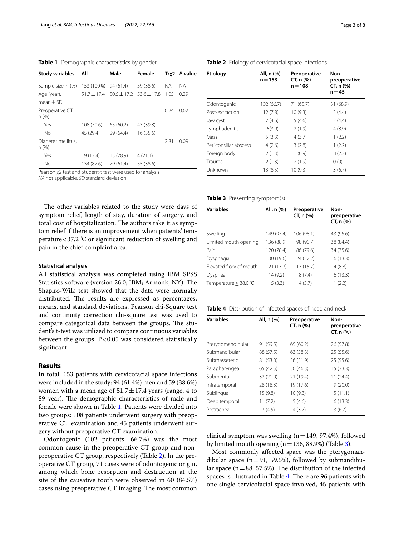<span id="page-2-0"></span>**Table 1** Demographic characteristics by gender

| <b>Study variables</b>     | All             | Male      | Female                          |      | $T/\chi$ 2 <i>P</i> -value |
|----------------------------|-----------------|-----------|---------------------------------|------|----------------------------|
| Sample size, n (%)         | 153 (100%)      | 94(61.4)  | 59 (38.6)                       | ΝA   | <b>NA</b>                  |
| Age (year),                | $51.7 \pm 17.4$ |           | $50.5 \pm 17.2$ $53.6 \pm 17.8$ | 1.05 | 0.29                       |
| $mean \pm SD$              |                 |           |                                 |      |                            |
| Preoperative CT,<br>n(%)   |                 |           |                                 | 0.24 | 0.62                       |
| Yes                        | 108 (70.6)      | 65(60.2)  | 43 (39.8)                       |      |                            |
| No                         | 45 (29.4)       | 29(64.4)  | 16(35.6)                        |      |                            |
| Diabetes mellitus.<br>n(%) |                 |           |                                 | 2.81 | 0.09                       |
| Yes                        | 19 (12.4)       | 15 (78.9) | 4(21.1)                         |      |                            |
| <b>No</b>                  | 134 (87.6)      | 79 (61.4) | 55 (38.6)                       |      |                            |

Pearson χ2 test and Student-t test were used for analysis

*NA* not applicable, *SD* standard deviation

The other variables related to the study were days of symptom relief, length of stay, duration of surgery, and total cost of hospitalization. The authors take it as symptom relief if there is an improvement when patients' temperature<37.2 ℃ or signifcant reduction of swelling and pain in the chief complaint area.

## **Statistical analysis**

All statistical analysis was completed using IBM SPSS Statistics software (version 26.0; IBM; Armonk, NY). The Shapiro-Wilk test showed that the data were normally distributed. The results are expressed as percentages, means, and standard deviations. Pearson chi-Square test and continuity correction chi-square test was used to compare categorical data between the groups. The student's t-test was utilized to compare continuous variables between the groups.  $P < 0.05$  was considered statistically signifcant.

## **Results**

In total, 153 patients with cervicofacial space infections were included in the study: 94 (61.4%) men and 59 (38.6%) women with a mean age of  $51.7 \pm 17.4$  years (range, 4 to 89 year). The demographic characteristics of male and female were shown in Table [1.](#page-2-0) Patients were divided into two groups: 108 patients underwent surgery with preoperative CT examination and 45 patients underwent surgery without preoperative CT examination.

Odontogenic (102 patients, 66.7%) was the most common cause in the preoperative CT group and nonpreoperative CT group, respectively (Table [2](#page-2-1)). In the preoperative CT group, 71 cases were of odontogenic origin, among which bone resorption and destruction at the site of the causative tooth were observed in 60 (84.5%) cases using preoperative CT imaging. The most common

| <b>Etiology</b>        | All, n (%)<br>$n = 153$ | Preoperative<br>CT, n (%)<br>$n = 108$ | Non-<br>preoperative<br>CT, n (%)<br>$n = 45$ |
|------------------------|-------------------------|----------------------------------------|-----------------------------------------------|
| Odontogenic            | 102 (66.7)              | 71 (65.7)                              | 31 (68.9)                                     |
| Post-extraction        | 12(7.8)                 | 10(9.3)                                | 2(4.4)                                        |
| Jaw cyst               | 7(4.6)                  | 5(4.6)                                 | 2(4.4)                                        |
| Lymphadenitis          | 6(3.9)                  | 2(1.9)                                 | 4(8.9)                                        |
| Mass                   | 5(3.3)                  | 4(3.7)                                 | 1(2.2)                                        |
| Peri-tonsillar abscess | 4(2.6)                  | 3(2.8)                                 | 1(2.2)                                        |
| Foreign body           | 2(1.3)                  | 1(0.9)                                 | 1(2.2)                                        |
| Trauma                 | 2(1.3)                  | 2(1.9)                                 | 0(0)                                          |
| Unknown                | 13(8.5)                 | 10(9.3)                                | 3(6.7)                                        |

### <span id="page-2-1"></span>**Table 2** Etiology of cervicofacial space infections

<span id="page-2-2"></span>**Table 3** Presenting symptom(s)

| <b>Variables</b>        | All, n (%) | Preoperative<br>CT, n (%) | Non-<br>preoperative<br>CT, n (%) |
|-------------------------|------------|---------------------------|-----------------------------------|
| Swelling                | 149 (97.4) | 106 (98.1)                | 43 (95.6)                         |
| Limited mouth opening   | 136 (88.9) | 98 (90.7)                 | 38 (84.4)                         |
| Pain                    | 120 (78.4) | 86 (79.6)                 | 34 (75.6)                         |
| Dysphagia               | 30 (19.6)  | 24 (22.2)                 | 6(13.3)                           |
| Elevated floor of mouth | 21(13.7)   | 17(15.7)                  | 4(8.8)                            |
| Dyspnea                 | 14(9.2)    | 8(7.4)                    | 6(13.3)                           |
| Temperature $>$ 38.0 °C | 5(3.3)     | 4(3.7)                    | 1(2.2)                            |

<span id="page-2-3"></span>

| Table 4 Distribution of infected spaces of head and neck |  |
|----------------------------------------------------------|--|
|----------------------------------------------------------|--|

| <b>Variables</b>  | All, n (%) | Preoperative<br>CT, n (%) | Non-<br>preoperative<br>CT, n (%) |
|-------------------|------------|---------------------------|-----------------------------------|
| Pterygomandibular | 91 (59.5)  | 65 (60.2)                 | 26 (57.8)                         |
| Submandibular     | 88 (57.5)  | 63(58.3)                  | 25(55.6)                          |
| Submasseteric     | 81 (53.0)  | 56 (51.9)                 | 25(55.6)                          |
| Parapharyngeal    | 65 (42.5)  | 50(46.3)                  | 15(33.3)                          |
| Submental         | 32 (21.0)  | 21 (19.4)                 | 11 (24.4)                         |
| Infratemporal     | 28 (18.3)  | 19 (17.6)                 | 9(20.0)                           |
| Sublingual        | 15(9.8)    | 10(9.3)                   | 5(11.1)                           |
| Deep temporal     | 11(7.2)    | 5(4.6)                    | 6(13.3)                           |
| Pretracheal       | 7(4.5)     | 4(3.7)                    | 3(6.7)                            |

clinical symptom was swelling  $(n=149, 97.4%)$ , followed by limited mouth opening  $(n=136, 88.9%)$  (Table [3](#page-2-2)).

Most commonly afected space was the pterygomandibular space  $(n=91, 59.5%)$ , followed by submandibular space ( $n=88$ , 57.5%). The distribution of the infected spaces is illustrated in Table [4.](#page-2-3) There are 96 patients with one single cervicofacial space involved, 45 patients with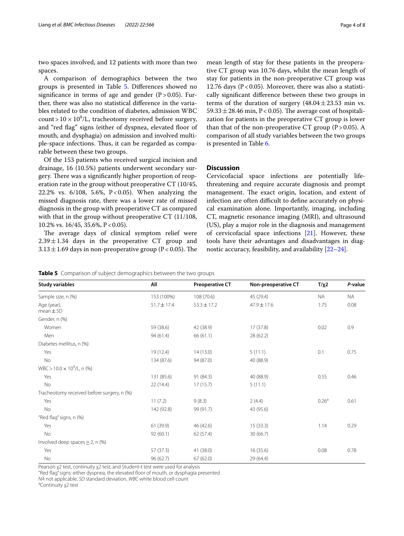two spaces involved, and 12 patients with more than two spaces.

A comparison of demographics between the two groups is presented in Table [5.](#page-3-0) Diferences showed no signifcance in terms of age and gender (P*>*0.05). Further, there was also no statistical diference in the variables related to the condition of diabetes, admission WBC  $\text{count} > 10 \times 10^9/\text{L}$ , tracheotomy received before surgery, and "red flag" signs (either of dyspnea, elevated floor of mouth, and dysphagia) on admission and involved multiple-space infections. Thus, it can be regarded as comparable between these two groups.

Of the 153 patients who received surgical incision and drainage, 16 (10.5%) patients underwent secondary surgery. There was a significantly higher proportion of reoperation rate in the group without preoperative CT (10/45, 22.2% vs.  $6/108$ , 5.6%, P<0.05). When analyzing the missed diagnosis rate, there was a lower rate of missed diagnosis in the group with preoperative CT as compared with that in the group without preoperative CT (11/108, 10.2% vs. 16/45, 35.6%, P < 0.05).

The average days of clinical symptom relief were  $2.39 \pm 1.34$  days in the preoperative CT group and  $3.13 \pm 1.69$  days in non-preoperative group (P < 0.05). The

mean length of stay for these patients in the preoperative CT group was 10.76 days, whilst the mean length of stay for patients in the non-preoperative CT group was 12.76 days ( $P < 0.05$ ). Moreover, there was also a statistically signifcant diference between these two groups in terms of the duration of surgery  $(48.04 \pm 23.53 \text{ min} \text{ vs.})$  $59.33 \pm 28.46$  min, P < 0.05). The average cost of hospitalization for patients in the preoperative CT group is lower than that of the non-preoperative CT group  $(P > 0.05)$ . A comparison of all study variables between the two groups is presented in Table [6.](#page-4-0)

## **Discussion**

Cervicofacial space infections are potentially lifethreatening and require accurate diagnosis and prompt management. The exact origin, location, and extent of infection are often difficult to define accurately on physical examination alone. Importantly, imaging, including CT, magnetic resonance imaging (MRI), and ultrasound (US), play a major role in the diagnosis and management of cervicofacial space infections [\[21](#page-6-19)]. However, these tools have their advantages and disadvantages in diagnostic accuracy, feasibility, and availability [[22–](#page-6-20)[24](#page-6-21)].

<span id="page-3-0"></span>

|  |  |  |  | Table 5 Comparison of subject demographics between the two groups |  |
|--|--|--|--|-------------------------------------------------------------------|--|
|--|--|--|--|-------------------------------------------------------------------|--|

| <b>Study variables</b>                     | All             | <b>Preoperative CT</b> | Non-preoperative CT | $T/\chi$ 2        | P-value   |
|--------------------------------------------|-----------------|------------------------|---------------------|-------------------|-----------|
| Sample size, n (%)                         | 153 (100%)      | 108 (70.6)             | 45 (29.4)           | <b>NA</b>         | <b>NA</b> |
| Age (year),<br>$mean \pm SD$               | $51.7 \pm 17.4$ | $53.3 \pm 17.2$        | $47.9 \pm 17.6$     | 1.75              | 0.08      |
| Gender, n (%)                              |                 |                        |                     |                   |           |
| Women                                      | 59 (38.6)       | 42 (38.9)              | 17(37.8)            | 0.02              | 0.9       |
| Men                                        | 94 (61.4)       | 66 (61.1)              | 28 (62.2)           |                   |           |
| Diabetes mellitus, n (%)                   |                 |                        |                     |                   |           |
| Yes                                        | 19 (12.4)       | 14(13.0)               | 5(11.1)             | 0.1               | 0.75      |
| No                                         | 134 (87.6)      | 94 (87.0)              | 40 (88.9)           |                   |           |
| WBC > $10.0 \times 10^9$ /L, n (%)         |                 |                        |                     |                   |           |
| Yes                                        | 131 (85.6)      | 91 (84.3)              | 40 (88.9)           | 0.55              | 0.46      |
| No                                         | 22 (14.4)       | 17(15.7)               | 5(11.1)             |                   |           |
| Tracheotomy received before surgery, n (%) |                 |                        |                     |                   |           |
| Yes                                        | 11(7.2)         | 9(8.3)                 | 2(4.4)              | 0.26 <sup>a</sup> | 0.61      |
| No                                         | 142 (92.8)      | 99 (91.7)              | 43 (95.6)           |                   |           |
| "Red flag" signs, n (%)                    |                 |                        |                     |                   |           |
| Yes                                        | 61 (39.9)       | 46 (42.6)              | 15(33.3)            | 1.14              | 0.29      |
| No                                         | 92(60.1)        | 62 (57.4)              | 30(66.7)            |                   |           |
| Involved deep spaces $\geq$ 2, n (%)       |                 |                        |                     |                   |           |
| Yes                                        | 57 (37.3)       | 41 (38.0)              | 16(35.6)            | 0.08              | 0.78      |
| No                                         | 96 (62.7)       | 67(62.0)               | 29 (64.4)           |                   |           |

Pearson χ2 test, continuity χ2 test, and Student-t test were used for analysis

"Red fag" signs: either dyspnea, the elevated foor of mouth, or dysphagia presented

*NA* not applicable, *SD* standard deviation, *WBC* white blood cell count <sup>a</sup>

<sup>a</sup>Continuity χ2 test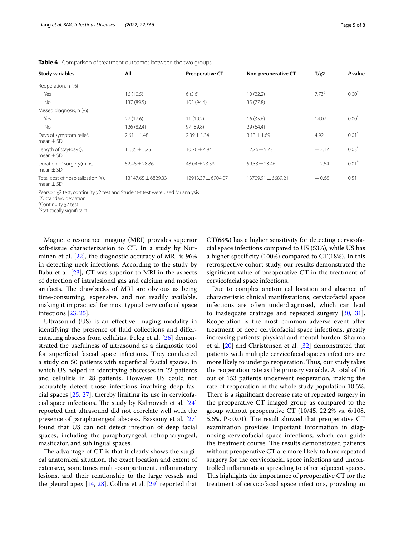| <b>Study variables</b>                              | All                | <b>Preoperative CT</b> | Non-preoperative CT | $T/\chi$ 2        | P value             |
|-----------------------------------------------------|--------------------|------------------------|---------------------|-------------------|---------------------|
| Reoperation, n (%)                                  |                    |                        |                     |                   |                     |
| Yes                                                 | 16(10.5)           | 6(5.6)                 | 10(22.2)            | 7.73 <sup>a</sup> | $0.00^*$            |
| <b>No</b>                                           | 137 (89.5)         | 102 (94.4)             | 35 (77.8)           |                   |                     |
| Missed diagnosis, n (%)                             |                    |                        |                     |                   |                     |
| Yes                                                 | 27(17.6)           | 11(10.2)               | 16(35.6)            | 14.07             | $0.00*$             |
| <b>No</b>                                           | 126 (82.4)         | 97 (89.8)              | 29(64.4)            |                   |                     |
| Days of symptom relief,<br>$mean + SD$              | $2.61 \pm 1.48$    | $2.39 \pm 1.34$        | $3.13 \pm 1.69$     | 4.92              | $0.01$ <sup>*</sup> |
| Length of stay(days),<br>$mean + SD$                | $11.35 \pm 5.25$   | $10.76 \pm 4.94$       | $12.76 \pm 5.73$    | $-2.17$           | $0.03*$             |
| Duration of surgery(mins),<br>$mean + SD$           | $52.48 \pm 28.86$  | $48.04 \pm 23.53$      | $59.33 \pm 28.46$   | $-2.54$           | $0.01$ <sup>*</sup> |
| Total cost of hospitalization (¥),<br>$mean \pm SD$ | 13147.65 ± 6829.33 | 12913.37±6904.07       | 13709.91 + 6689.21  | $-0.66$           | 0.51                |

<span id="page-4-0"></span>**Table 6** Comparison of treatment outcomes between the two groups

Pearson χ2 test, continuity χ2 test and Student-t test were used for analysis

\* Statistically signifcant

Magnetic resonance imaging (MRI) provides superior soft-tissue characterization to CT. In a study by Nurminen et al. [\[22](#page-6-20)], the diagnostic accuracy of MRI is 96% in detecting neck infections. According to the study by Babu et al. [[23](#page-6-22)], CT was superior to MRI in the aspects of detection of intralesional gas and calcium and motion artifacts. The drawbacks of MRI are obvious as being time-consuming, expensive, and not readily available, making it impractical for most typical cervicofacial space infections [[23](#page-6-22), [25\]](#page-6-23).

Ultrasound (US) is an efective imaging modality in identifying the presence of fuid collections and diferentiating abscess from cellulitis. Peleg et al. [\[26](#page-6-24)] demonstrated the usefulness of ultrasound as a diagnostic tool for superficial fascial space infections. They conducted a study on 50 patients with superfcial fascial spaces, in which US helped in identifying abscesses in 22 patients and cellulitis in 28 patients. However, US could not accurately detect those infections involving deep fascial spaces [[25](#page-6-23), [27\]](#page-6-25), thereby limiting its use in cervicofacial space infections. The study by Kalmovich et al.  $[24]$  $[24]$  $[24]$ reported that ultrasound did not correlate well with the presence of parapharengeal abscess. Bassiony et al. [[27](#page-6-25)] found that US can not detect infection of deep facial spaces, including the parapharyngeal, retropharyngeal, masticator, and sublingual spaces.

The advantage of CT is that it clearly shows the surgical anatomical situation, the exact location and extent of extensive, sometimes multi-compartment, infammatory lesions, and their relationship to the large vessels and the pleural apex [[14,](#page-6-12) [28\]](#page-6-26). Collins et al. [[29\]](#page-6-27) reported that CT(68%) has a higher sensitivity for detecting cervicofacial space infections compared to US (53%), while US has a higher specifcity (100%) compared to CT(18%). In this retrospective cohort study, our results demonstrated the signifcant value of preoperative CT in the treatment of cervicofacial space infections.

Due to complex anatomical location and absence of characteristic clinical manifestations, cervicofacial space infections are often underdiagnosed, which can lead to inadequate drainage and repeated surgery [\[30](#page-6-28), [31](#page-6-29)]. Reoperation is the most common adverse event after treatment of deep cervicofacial space infections, greatly increasing patients' physical and mental burden. Sharma et al. [[20](#page-6-17)] and Christensen et al. [[32\]](#page-6-30) demonstrated that patients with multiple cervicofacial spaces infections are more likely to undergo reoperation. Thus, our study takes the reoperation rate as the primary variable. A total of 16 out of 153 patients underwent reoperation, making the rate of reoperation in the whole study population 10.5%. There is a significant decrease rate of repeated surgery in the preoperative CT imaged group as compared to the group without preoperative CT (10/45, 22.2% vs. 6/108, 5.6%,  $P < 0.01$ ). The result showed that preoperative CT examination provides important information in diagnosing cervicofacial space infections, which can guide the treatment course. The results demonstrated patients without preoperative CT are more likely to have repeated surgery for the cervicofacial space infections and uncontrolled infammation spreading to other adjacent spaces. This highlights the importance of preoperative CT for the treatment of cervicofacial space infections, providing an

*SD* standard deviation

<sup>&</sup>lt;sup>a</sup>Continuity χ2 test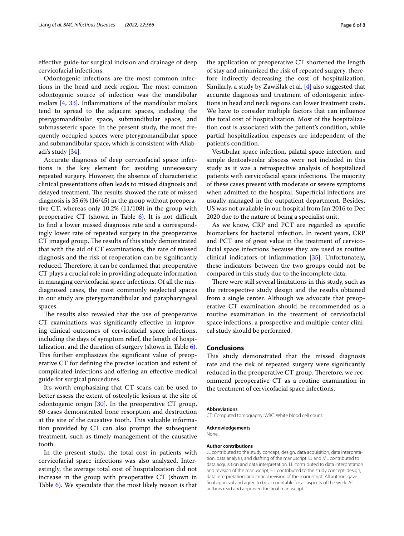efective guide for surgical incision and drainage of deep cervicofacial infections.

Odontogenic infections are the most common infections in the head and neck region. The most common odontogenic source of infection was the mandibular molars [\[4](#page-6-2), [33\]](#page-6-31). Infammations of the mandibular molars tend to spread to the adjacent spaces, including the pterygomandibular space, submandibular space, and submasseteric space. In the present study, the most frequently occupied spaces were pterygomandibular space and submandibular space, which is consistent with Aliabadi's study [\[34\]](#page-7-0).

Accurate diagnosis of deep cervicofacial space infections is the key element for avoiding unnecessary repeated surgery. However, the absence of characteristic clinical presentations often leads to missed diagnosis and delayed treatment. The results showed the rate of missed diagnosis is 35.6% (16/45) in the group without preoperative CT, whereas only 10.2% (11/108) in the group with preoperative CT (shown in Table  $6$ ). It is not difficult to fnd a lower missed diagnosis rate and a correspondingly lower rate of repeated surgery in the preoperative CT imaged group. The results of this study demonstrated that with the aid of CT examinations, the rate of missed diagnosis and the risk of reoperation can be signifcantly reduced. Therefore, it can be confirmed that preoperative CT plays a crucial role in providing adequate information in managing cervicofacial space infections. Of all the misdiagnosed cases, the most commonly neglected spaces in our study are pterygomandibular and parapharyngeal spaces.

The results also revealed that the use of preoperative CT examinations was signifcantly efective in improving clinical outcomes of cervicofacial space infections, including the days of symptom relief, the length of hospitalization, and the duration of surgery (shown in Table [6](#page-4-0)). This further emphasizes the significant value of preoperative CT for defning the precise location and extent of complicated infections and ofering an efective medical guide for surgical procedures.

It's worth emphasizing that CT scans can be used to better assess the extent of osteolytic lesions at the site of odontogenic origin [\[30\]](#page-6-28). In the preoperative CT group, 60 cases demonstrated bone resorption and destruction at the site of the causative tooth. This valuable information provided by CT can also prompt the subsequent treatment, such as timely management of the causative tooth.

In the present study, the total cost in patients with cervicofacial space infections was also analyzed. Interestingly, the average total cost of hospitalization did not increase in the group with preoperative CT (shown in Table [6\)](#page-4-0). We speculate that the most likely reason is that the application of preoperative CT shortened the length of stay and minimized the risk of repeated surgery, therefore indirectly decreasing the cost of hospitalization. Similarly, a study by Zawiślak et al. [\[4](#page-6-2)] also suggested that accurate diagnosis and treatment of odontogenic infections in head and neck regions can lower treatment costs. We have to consider multiple factors that can infuence the total cost of hospitalization. Most of the hospitalization cost is associated with the patient's condition, while partial hospitalization expenses are independent of the patient's condition.

Vestibular space infection, palatal space infection, and simple dentoalveolar abscess were not included in this study as it was a retrospective analysis of hospitalized patients with cervicofacial space infections. The majority of these cases present with moderate or severe symptoms when admitted to the hospital. Superficial infections are usually managed in the outpatient department. Besides, US was not available in our hospital from Jan 2016 to Dec 2020 due to the nature of being a specialist unit.

As we know, CRP and PCT are regarded as specifc biomarkers for bacterial infection. In recent years, CRP and PCT are of great value in the treatment of cervicofacial space infections because they are used as routine clinical indicators of infammation [[35](#page-7-1)]. Unfortunately, these indicators between the two groups could not be compared in this study due to the incomplete data.

There were still several limitations in this study, such as the retrospective study design and the results obtained from a single center. Although we advocate that preoperative CT examination should be recommended as a routine examination in the treatment of cervicofacial space infections, a prospective and multiple-center clinical study should be performed.

## **Conclusions**

This study demonstrated that the missed diagnosis rate and the risk of repeated surgery were signifcantly reduced in the preoperative CT group. Therefore, we recommend preoperative CT as a routine examination in the treatment of cervicofacial space infections.

#### **Abbreviations**

None.

CT: Computed tomography; WBC: White blood cell count.

## **Acknowledgements**

**Author contributions**

JL contributed to the study concept, design, data acquisition, data interpretation, data analysis, and drafting of the manuscript. LJ and ML contributed to data acquisition and data interpretation. LL contributed to data interpretation and revision of the manuscript; HL contributed to the study concept, design, data interpretation, and critical revision of the manuscript. All authors gave fnal approval and agree to be accountable for all aspects of the work. All authors read and approved the fnal manuscript.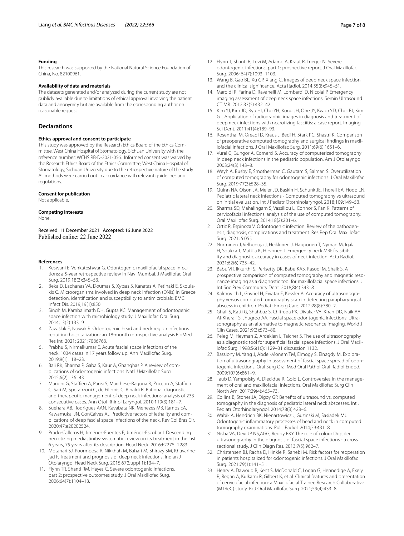#### **Funding**

This research was supported by the National Natural Science Foundation of China, No. 82100961.

#### **Availability of data and materials**

The datasets generated and/or analyzed during the current study are not publicly available due to limitations of ethical approval involving the patient data and anonymity but are available from the corresponding author on reasonable request.

#### **Declarations**

#### **Ethics approval and consent to participate**

This study was approved by the Research Ethics Board of the Ethics Committee, West China Hospital of Stomatology, Sichuan University with the reference number: WCHSIRB-D-2021-056. Informed consent was waived by the Research Ethics Board of the Ethics Committee, West China Hospital of Stomatology, Sichuan University due to the retrospective nature of the study. All methods were carried out in accordance with relevant guidelines and regulations.

#### **Consent for publication**

Not applicable.

## **Competing interests**

None.

Received: 11 December 2021 Accepted: 16 June 2022

#### **References**

- <span id="page-6-0"></span>Keswani E, Venkateshwar G. Odontogenic maxillofacial space infections: a 5-year retrospective review in Navi Mumbai. J Maxillofac Oral Surg. 2019;18(3):345–53.
- 2. Beka D, Lachanas VA, Doumas S, Xytsas S, Kanatas A, Petinaki E, Skoulakis C. Microorganisms involved in deep neck infection (DNIs) in Greece: detection, identifcation and susceptibility to antimicrobials. BMC Infect Dis. 2019;19(1):850.
- <span id="page-6-1"></span>3. Singh M, Kambalimath DH, Gupta KC. Management of odontogenic space infection with microbiology study. J Maxillofac Oral Surg. 2014;13(2):133–9.
- <span id="page-6-2"></span>4. Zawiślak E, Nowak R. Odontogenic head and neck region infections requiring hospitalization: an 18-month retrospective analysis.BioMed Res Int*.* 2021; 2021:7086763.
- <span id="page-6-3"></span>5. Prabhu S, Nirmalkumar E. Acute fascial space infections of the neck: 1034 cases in 17 years follow up. Ann Maxillofac Surg. 2019;9(1):118–23.
- <span id="page-6-4"></span>6. Bali RK, Sharma P, Gaba S, Kaur A, Ghanghas P. A review of complications of odontogenic infections. Natl J Maxillofac Surg. 2015;6(2):136–43.
- <span id="page-6-5"></span>7. Marioni G, Staffieri A, Parisi S, Marchese-Ragona R, Zuccon A, Staffieri C, Sari M, Speranzoni C, de Filippis C, Rinaldi R. Rational diagnostic and therapeutic management of deep neck infections: analysis of 233 consecutive cases. Ann Otol Rhinol Laryngol. 2010;119(3):181–7.
- <span id="page-6-6"></span>8. Suehara AB, Rodrigues AAN, Kavabata NK, Menezes MB, Ramos EA, Kawamukai JN, GonCalves AJ. Predictive factors of lethality and complications of deep fascial space infections of the neck. Rev Col Bras Cir. 2020;47:e20202524.
- <span id="page-6-7"></span>9. Prado-Calleros H, Jiménez-Fuentes E, Jiménez-Escobar I. Descending necrotizing mediastinitis: systematic review on its treatment in the last 6 years, 75 years after its description. Head Neck. 2016:E2275–2283.
- <span id="page-6-8"></span>10. Motahari SJ, Poormoosa R, Nikkhah M, Bahari M, Shirazy SM, Khavarinejad F. Treatment and prognosis of deep neck infections. Indian J Otolaryngol Head Neck Surg. 2015;67(Suppl 1):134–7.
- <span id="page-6-9"></span>11. Flynn TR, Shanti RM, Hayes C. Severe odontogenic infections, part 2: prospective outcomes study. J Oral Maxillofac Surg. 2006;64(7):1104–13.
- <span id="page-6-10"></span>12. Flynn T, Shanti R, Levi M, Adamo A, Kraut R, Trieger N. Severe odontogenic infections, part 1: prospective report. J Oral Maxillofac Surg. 2006; 64(7):1093–1103.
- <span id="page-6-11"></span>13. Wang B, Gao BL, Xu GP, Xiang C. Images of deep neck space infection and the clinical signifcance. Acta Radiol. 2014;55(8):945–51.
- <span id="page-6-12"></span>14. Maroldi R, Farina D, Ravanelli M, Lombardi D, Nicolai P. Emergency imaging assessment of deep neck space infections. Semin Ultrasound CT MR. 2012;33(5):432–42.
- <span id="page-6-13"></span>15. Kim YJ, Kim JD, Ryu HI, Cho YH, Kong JH, Ohe JY, Kwon YD, Choi BJ, Kim GT. Application of radiographic images in diagnosis and treatment of deep neck infections with necrotizing fasciitis: a case report. Imaging Sci Dent. 2011;41(4):189–93.
- <span id="page-6-14"></span>16. Rosenthal M, Oreadi D, Kraus J, Bedi H, Stark PC, Shastri K. Comparison of preoperative computed tomography and surgical fndings in maxillofacial infections. J Oral Maxillofac Surg. 2011;69(6):1651–6.
- <span id="page-6-15"></span>17. Vural C, Gungor A, Comerci S. Accuracy of computerized tomography in deep neck infections in the pediatric population. Am J Otolaryngol. 2003;24(3):143–8.
- <span id="page-6-16"></span>18. Weyh A, Busby E, Smotherman C, Gautam S, Salman S. Overutilization of computed tomography for odontogenic infections. J Oral Maxillofac Surg. 2019;77(3):528–35.
- <span id="page-6-18"></span>19. Quinn NA, Olson JA, Meier JD, Baskin H, Schunk JE, Thorell EA, Hodo LN. Pediatric lateral neck infections - Computed tomography vs ultrasound on initial evaluation. Int J Pediatr Otorhinolaryngol. 2018;109:149–53.
- <span id="page-6-17"></span>20. Sharma SD, Mahalingam S, Vassiliou L, Connor S, Fan K. Patterns of cervicofacial infections: analysis of the use of computed tomography. Oral Maxillofac Surg. 2014;18(2):201–6.
- <span id="page-6-19"></span>21. Ortiz R, Espinoza V. Odontogenic infection. Review of the pathogenesis, diagnosis, complications and treatment. Res Rep Oral Maxillofac Surg. 2021; 5:055.
- <span id="page-6-20"></span>22. Nurminen J, Velhonoja J, Heikkinen J, Happonen T, Nyman M, Irjala H, Soukka T, Mattila K, Hirvonen J. Emergency neck MRI: feasibility and diagnostic accuracy in cases of neck infection. Acta Radiol. 2021;62(6):735–42.
- <span id="page-6-22"></span>23. Babu VR, Ikkurthi S, Perisetty DK, Babu KAS, Rasool M, Shaik S. A prospective comparison of computed tomography and magnetic resonance imaging as a diagnostic tool for maxillofacial space infections. J Int Soc Prev Community Dent. 2018;8(4):343–8.
- <span id="page-6-21"></span>24. Kalmovich L, Gavriel H, Eviatar E, Kessler A. Accuracy of ultrasonography versus computed tomography scan in detecting parapharyngeal abscess in children. Pediatr Emerg Care. 2012;28(8):780–2.
- <span id="page-6-23"></span>25. Ghali S, Katti G, Shahbaz S, Chitroda PK, Divakar VA, Khan DD, Naik AA, Al-Kheraif S, Jhugroo AA. Fascial space odontogenic infections: Ultrasonography as an alternative to magnetic resonance imaging. World J Clin Cases. 2021;9(3):573–80.
- <span id="page-6-24"></span>26. Peleg M, Heyman Z, Ardekian L, Taicher S. The use of ultrasonography as a diagnostic tool for superfcial fascial space infections. J Oral Maxillofac Surg. 1998;56(10):1129–31 discussion 1132.
- <span id="page-6-25"></span>27. Bassiony M, Yang J, Abdel-Monem TM, Elmogy S, Elnagdy M. Exploration of ultrasonography in assessment of fascial space spread of odontogenic infections. Oral Surg Oral Med Oral Pathol Oral Radiol Endod. 2009;107(6):861–9.
- <span id="page-6-26"></span>28. Taub D, Yampolsky A, Diecidue R, Gold L. Controversies in the management of oral and maxillofacial infections. Oral Maxillofac Surg Clin North Am. 2017;29(4):465–73.
- <span id="page-6-27"></span>29. Collins B, Stoner JA, Digoy GP. Benefts of ultrasound vs. computed tomography in the diagnosis of pediatric lateral neck abscesses. Int J Pediatr Otorhinolaryngol. 2014;78(3):423–6.
- <span id="page-6-28"></span>30. Wabik A, Hendrich BK, Nienartowicz J, Guzinski M, Sasiadek MJ. Odontogenic infammatory processes of head and neck in computed tomography examinations. Pol J Radiol. 2014;79:431–8.
- <span id="page-6-29"></span>31. Nisha VA, Devi JP NS,AGG, Reddy BKY. The role of colour Doppler ultrasonography in the diagnosis of fascial space infections - a cross sectional study. J Clin Diagn Res. 2013;7(5):962–7.
- <span id="page-6-30"></span>32. Christensen BJ, Racha D, Hinkle R, Sahebi M. Risk factors for reoperation in patients hospitalized for odontogenic infections. J Oral Maxillofac Surg. 2021;79(1):141–51.
- <span id="page-6-31"></span>33. Henry A, Dawoud B, Kent S, McDonald C, Logan G, Hennedige A, Exely R, Regan A, Kulkarni R, Gilbert K, et al. Clinical features and presentation of cervicofacial infection: a Maxillofacial Trainee Research Collaborative (MTReC) study. Br J Oral Maxillofac Surg. 2021;59(4):433–8.